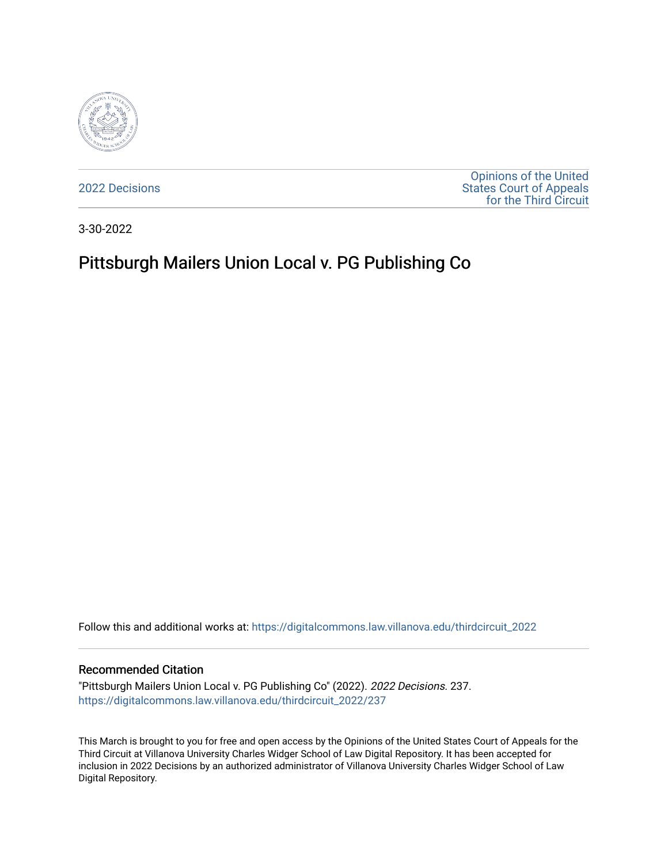

[2022 Decisions](https://digitalcommons.law.villanova.edu/thirdcircuit_2022)

[Opinions of the United](https://digitalcommons.law.villanova.edu/thirdcircuit)  [States Court of Appeals](https://digitalcommons.law.villanova.edu/thirdcircuit)  [for the Third Circuit](https://digitalcommons.law.villanova.edu/thirdcircuit) 

3-30-2022

# Pittsburgh Mailers Union Local v. PG Publishing Co

Follow this and additional works at: [https://digitalcommons.law.villanova.edu/thirdcircuit\\_2022](https://digitalcommons.law.villanova.edu/thirdcircuit_2022?utm_source=digitalcommons.law.villanova.edu%2Fthirdcircuit_2022%2F237&utm_medium=PDF&utm_campaign=PDFCoverPages) 

### Recommended Citation

"Pittsburgh Mailers Union Local v. PG Publishing Co" (2022). 2022 Decisions. 237. [https://digitalcommons.law.villanova.edu/thirdcircuit\\_2022/237](https://digitalcommons.law.villanova.edu/thirdcircuit_2022/237?utm_source=digitalcommons.law.villanova.edu%2Fthirdcircuit_2022%2F237&utm_medium=PDF&utm_campaign=PDFCoverPages)

This March is brought to you for free and open access by the Opinions of the United States Court of Appeals for the Third Circuit at Villanova University Charles Widger School of Law Digital Repository. It has been accepted for inclusion in 2022 Decisions by an authorized administrator of Villanova University Charles Widger School of Law Digital Repository.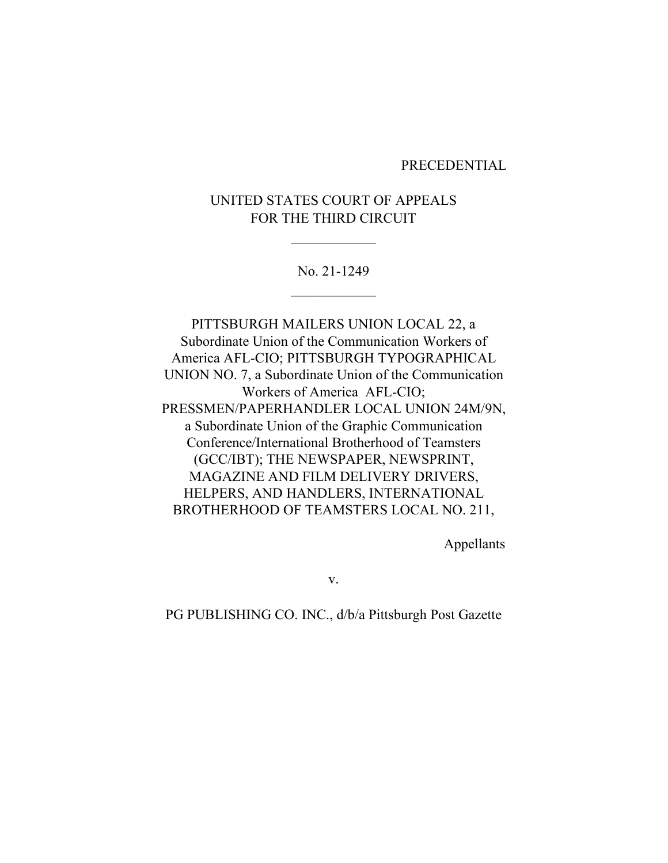#### PRECEDENTIAL

## UNITED STATES COURT OF APPEALS FOR THE THIRD CIRCUIT

 $\overline{\phantom{a}}$  , where  $\overline{\phantom{a}}$ 

No. 21-1249  $\frac{1}{2}$ 

PITTSBURGH MAILERS UNION LOCAL 22, a Subordinate Union of the Communication Workers of America AFL-CIO; PITTSBURGH TYPOGRAPHICAL UNION NO. 7, a Subordinate Union of the Communication Workers of America AFL-CIO; PRESSMEN/PAPERHANDLER LOCAL UNION 24M/9N, a Subordinate Union of the Graphic Communication Conference/International Brotherhood of Teamsters (GCC/IBT); THE NEWSPAPER, NEWSPRINT, MAGAZINE AND FILM DELIVERY DRIVERS, HELPERS, AND HANDLERS, INTERNATIONAL BROTHERHOOD OF TEAMSTERS LOCAL NO. 211,

Appellants

v.

PG PUBLISHING CO. INC., d/b/a Pittsburgh Post Gazette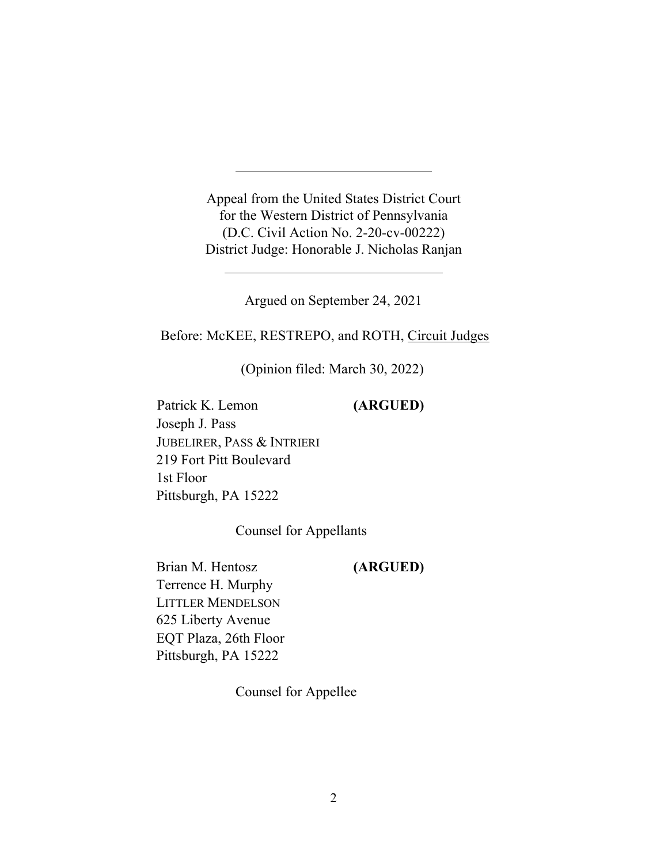Appeal from the United States District Court for the Western District of Pennsylvania (D.C. Civil Action No. 2-20-cv-00222) District Judge: Honorable J. Nicholas Ranjan

Argued on September 24, 2021

Before: McKEE, RESTREPO, and ROTH, Circuit Judges

(Opinion filed: March 30, 2022)

Patrick K. Lemon **(ARGUED)** Joseph J. Pass JUBELIRER, PASS & INTRIERI 219 Fort Pitt Boulevard 1st Floor Pittsburgh, PA 15222

Counsel for Appellants

Brian M. Hentosz **(ARGUED)**  Terrence H. Murphy LITTLER MENDELSON 625 Liberty Avenue EQT Plaza, 26th Floor Pittsburgh, PA 15222

Counsel for Appellee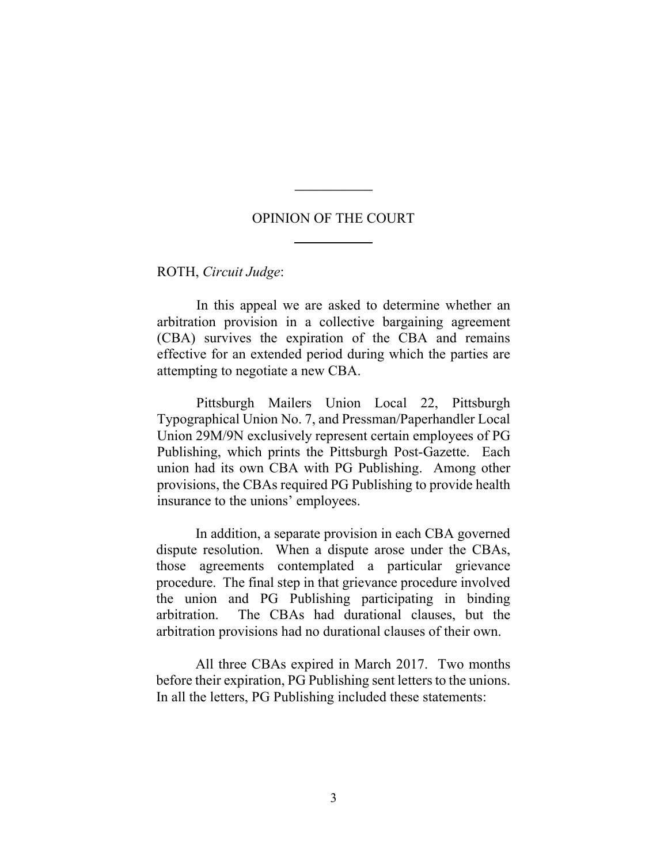### OPINION OF THE COURT

\_\_\_\_\_\_\_\_\_\_\_

ROTH, *Circuit Judge*:

In this appeal we are asked to determine whether an arbitration provision in a collective bargaining agreement (CBA) survives the expiration of the CBA and remains effective for an extended period during which the parties are attempting to negotiate a new CBA.

Pittsburgh Mailers Union Local 22, Pittsburgh Typographical Union No. 7, and Pressman/Paperhandler Local Union 29M/9N exclusively represent certain employees of PG Publishing, which prints the Pittsburgh Post-Gazette. Each union had its own CBA with PG Publishing. Among other provisions, the CBAs required PG Publishing to provide health insurance to the unions' employees.

In addition, a separate provision in each CBA governed dispute resolution. When a dispute arose under the CBAs, those agreements contemplated a particular grievance procedure. The final step in that grievance procedure involved the union and PG Publishing participating in binding arbitration. The CBAs had durational clauses, but the arbitration provisions had no durational clauses of their own.

All three CBAs expired in March 2017. Two months before their expiration, PG Publishing sent letters to the unions. In all the letters, PG Publishing included these statements: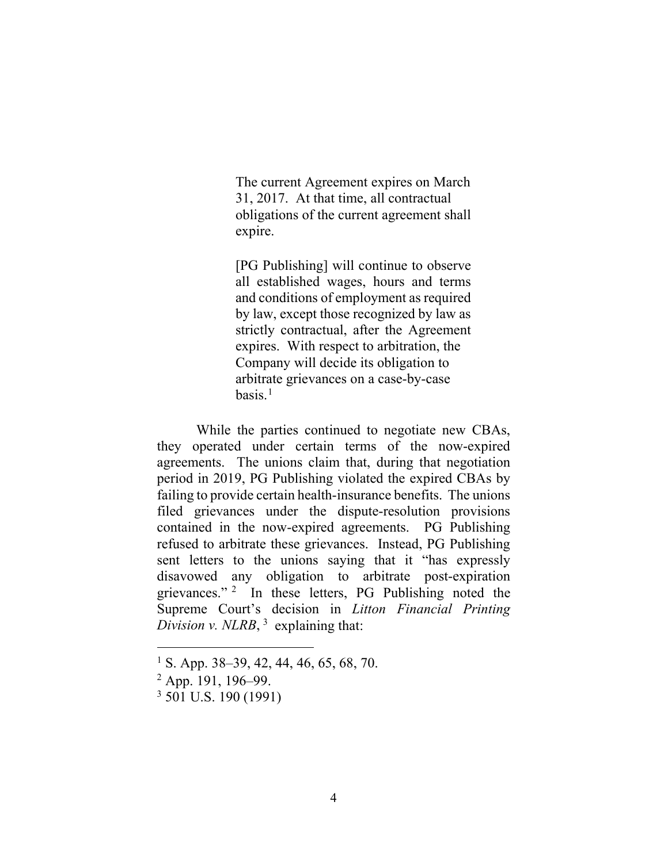The current Agreement expires on March 31, 2017. At that time, all contractual obligations of the current agreement shall expire.

[PG Publishing] will continue to observe all established wages, hours and terms and conditions of employment as required by law, except those recognized by law as strictly contractual, after the Agreement expires. With respect to arbitration, the Company will decide its obligation to arbitrate grievances on a case-by-case  $basis.<sup>1</sup>$ 

While the parties continued to negotiate new CBAs, they operated under certain terms of the now-expired agreements. The unions claim that, during that negotiation period in 2019, PG Publishing violated the expired CBAs by failing to provide certain health-insurance benefits. The unions filed grievances under the dispute-resolution provisions contained in the now-expired agreements. PG Publishing refused to arbitrate these grievances. Instead, PG Publishing sent letters to the unions saying that it "has expressly disavowed any obligation to arbitrate post-expiration grievances."  $2\;\;$  In these letters, PG Publishing noted the Supreme Court's decision in *Litton Financial Printing Division v. NLRB*,  $3$  explaining that:

<sup>1</sup> S. App. 38–39, 42, 44, 46, 65, 68, 70.

 $2$  App. 191, 196–99.

 $3\overline{501}$  U.S. 190 (1991)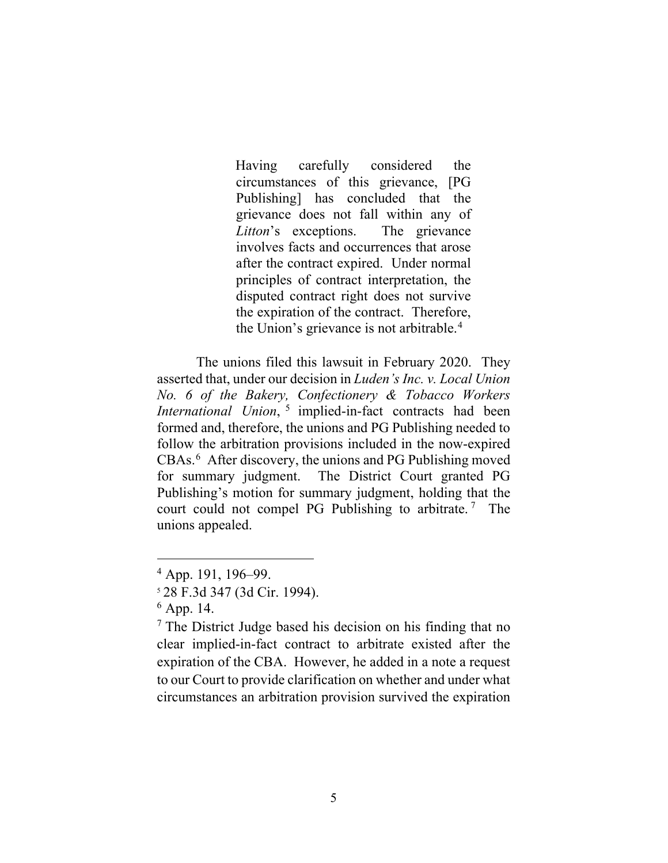Having carefully considered the circumstances of this grievance, [PG Publishing] has concluded that the grievance does not fall within any of *Litton*'s exceptions. The grievance involves facts and occurrences that arose after the contract expired. Under normal principles of contract interpretation, the disputed contract right does not survive the expiration of the contract. Therefore, the Union's grievance is not arbitrable.<sup>4</sup>

The unions filed this lawsuit in February 2020. They asserted that, under our decision in *Luden's Inc. v. Local Union No. 6 of the Bakery, Confectionery & Tobacco Workers International Union*, <sup>5</sup> implied-in-fact contracts had been formed and, therefore, the unions and PG Publishing needed to follow the arbitration provisions included in the now-expired CBAs. 6 After discovery, the unions and PG Publishing moved for summary judgment. The District Court granted PG Publishing's motion for summary judgment, holding that the court could not compel PG Publishing to arbitrate.<sup>7</sup> The unions appealed.

<sup>4</sup> App. 191, 196–99.

<sup>5</sup> 28 F.3d 347 (3d Cir. 1994).

 $6$  App. 14.

 $<sup>7</sup>$  The District Judge based his decision on his finding that no</sup> clear implied-in-fact contract to arbitrate existed after the expiration of the CBA. However, he added in a note a request to our Court to provide clarification on whether and under what circumstances an arbitration provision survived the expiration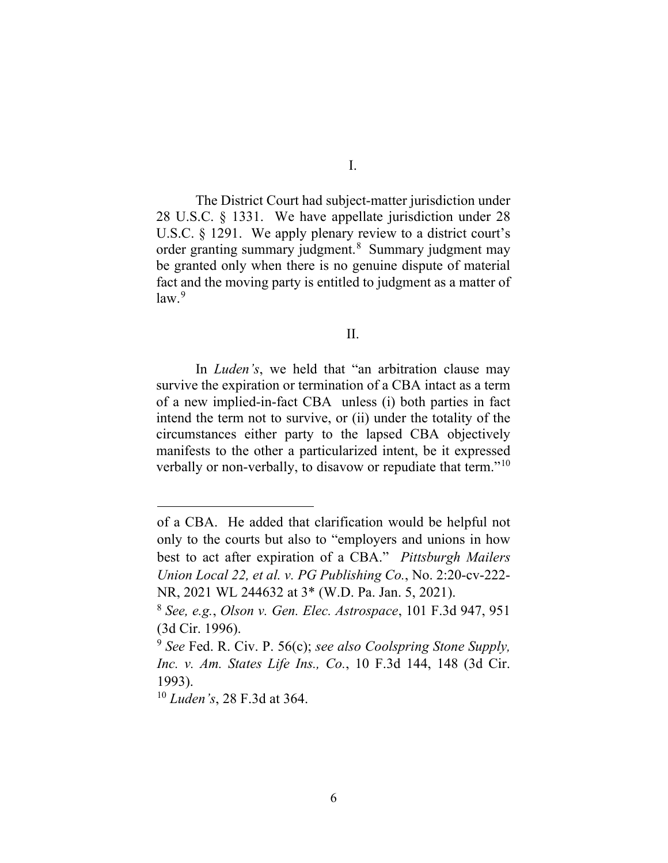The District Court had subject-matter jurisdiction under

28 U.S.C. § 1331. We have appellate jurisdiction under 28 U.S.C. § 1291. We apply plenary review to a district court's order granting summary judgment.<sup>8</sup> Summary judgment may be granted only when there is no genuine dispute of material fact and the moving party is entitled to judgment as a matter of law.<sup>9</sup>

II.

In *Luden's*, we held that "an arbitration clause may survive the expiration or termination of a CBA intact as a term of a new implied-in-fact CBA unless (i) both parties in fact intend the term not to survive, or (ii) under the totality of the circumstances either party to the lapsed CBA objectively manifests to the other a particularized intent, be it expressed verbally or non-verbally, to disavow or repudiate that term."<sup>10</sup>

of a CBA. He added that clarification would be helpful not only to the courts but also to "employers and unions in how best to act after expiration of a CBA." *Pittsburgh Mailers Union Local 22, et al. v. PG Publishing Co.*, No. 2:20-cv-222- NR, 2021 WL 244632 at 3\* (W.D. Pa. Jan. 5, 2021).

<sup>8</sup> *See, e.g.*, *Olson v. Gen. Elec. Astrospace*, 101 F.3d 947, 951 (3d Cir. 1996).

<sup>9</sup> *See* Fed. R. Civ. P. 56(c); *see also Coolspring Stone Supply, Inc. v. Am. States Life Ins., Co.*, 10 F.3d 144, 148 (3d Cir. 1993).

<sup>10</sup> *Luden's*, 28 F.3d at 364.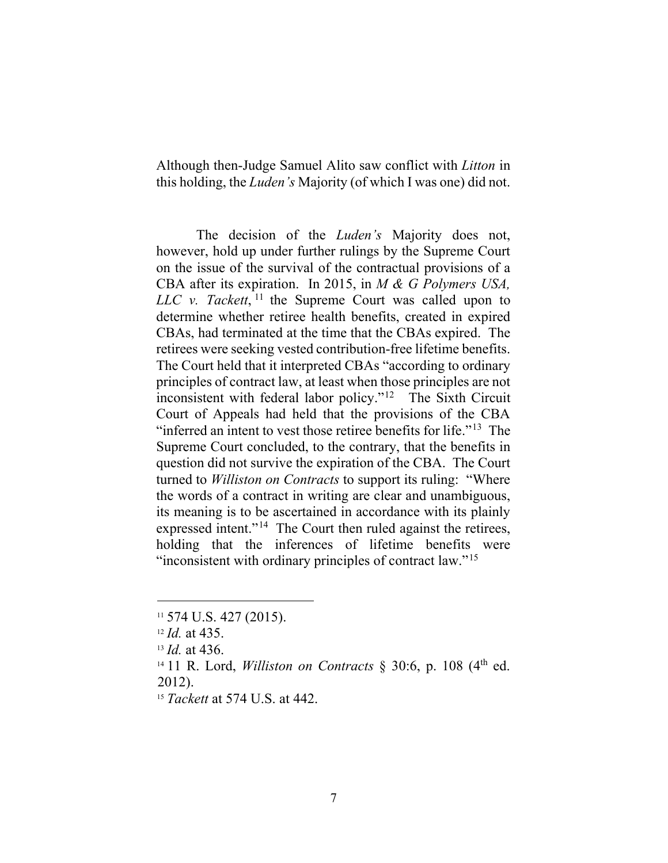Although then-Judge Samuel Alito saw conflict with *Litton* in this holding, the *Luden's* Majority (of which I was one) did not.

The decision of the *Luden's* Majority does not, however, hold up under further rulings by the Supreme Court on the issue of the survival of the contractual provisions of a CBA after its expiration. In 2015, in *M & G Polymers USA, LLC v. Tackett*, <sup>11</sup> the Supreme Court was called upon to determine whether retiree health benefits, created in expired CBAs, had terminated at the time that the CBAs expired. The retirees were seeking vested contribution-free lifetime benefits. The Court held that it interpreted CBAs "according to ordinary principles of contract law, at least when those principles are not inconsistent with federal labor policy."<sup>12</sup> The Sixth Circuit Court of Appeals had held that the provisions of the CBA "inferred an intent to vest those retiree benefits for life."<sup>13</sup> The Supreme Court concluded, to the contrary, that the benefits in question did not survive the expiration of the CBA. The Court turned to *Williston on Contracts* to support its ruling: "Where the words of a contract in writing are clear and unambiguous, its meaning is to be ascertained in accordance with its plainly expressed intent."<sup>14</sup> The Court then ruled against the retirees, holding that the inferences of lifetime benefits were "inconsistent with ordinary principles of contract law."<sup>15</sup>

<sup>11</sup> 574 U.S. 427 (2015).

<sup>12</sup> *Id.* at 435.

<sup>13</sup> *Id.* at 436.

<sup>&</sup>lt;sup>14</sup> 11 R. Lord, *Williston on Contracts*  $\frac{8}{30.6}$ , p. 108 (4<sup>th</sup> ed. 2012).

<sup>15</sup> *Tackett* at 574 U.S. at 442.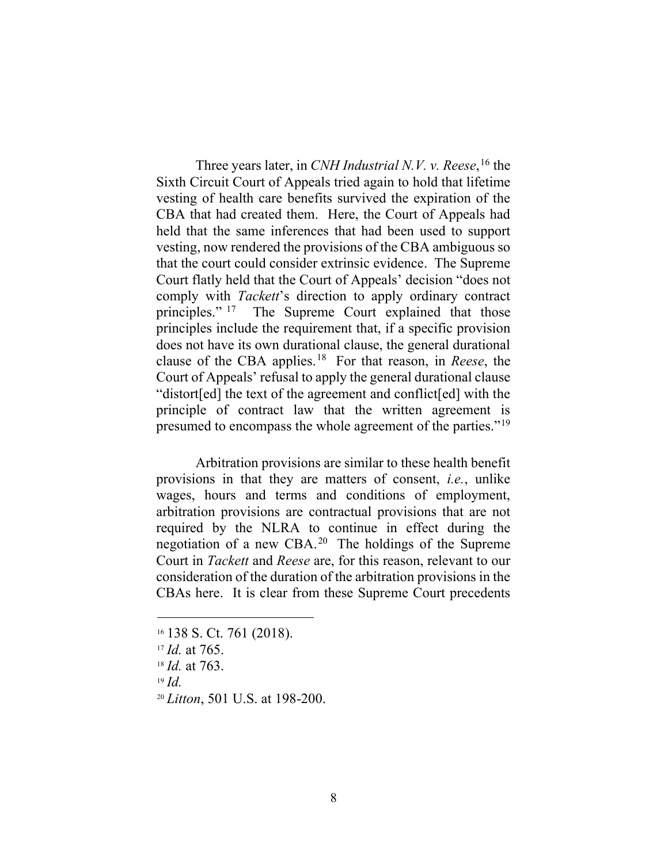Three years later, in *CNH Industrial N.V. v. Reese*, <sup>16</sup> the Sixth Circuit Court of Appeals tried again to hold that lifetime vesting of health care benefits survived the expiration of the CBA that had created them. Here, the Court of Appeals had held that the same inferences that had been used to support vesting, now rendered the provisions of the CBA ambiguous so that the court could consider extrinsic evidence. The Supreme Court flatly held that the Court of Appeals' decision "does not comply with *Tackett*'s direction to apply ordinary contract principles." <sup>17</sup> The Supreme Court explained that those principles include the requirement that, if a specific provision does not have its own durational clause, the general durational clause of the CBA applies. 18 For that reason, in *Reese*, the Court of Appeals' refusal to apply the general durational clause "distort[ed] the text of the agreement and conflict[ed] with the principle of contract law that the written agreement is presumed to encompass the whole agreement of the parties."19

Arbitration provisions are similar to these health benefit provisions in that they are matters of consent, *i.e.*, unlike wages, hours and terms and conditions of employment, arbitration provisions are contractual provisions that are not required by the NLRA to continue in effect during the negotiation of a new CBA. 20 The holdings of the Supreme Court in *Tackett* and *Reese* are, for this reason, relevant to our consideration of the duration of the arbitration provisions in the CBAs here. It is clear from these Supreme Court precedents

<sup>19</sup> *Id.*

<sup>&</sup>lt;sup>16</sup> 138 S. Ct. 761 (2018).

<sup>17</sup> *Id.* at 765.

<sup>18</sup> *Id.* at 763.

<sup>20</sup> *Litton*, 501 U.S. at 198-200.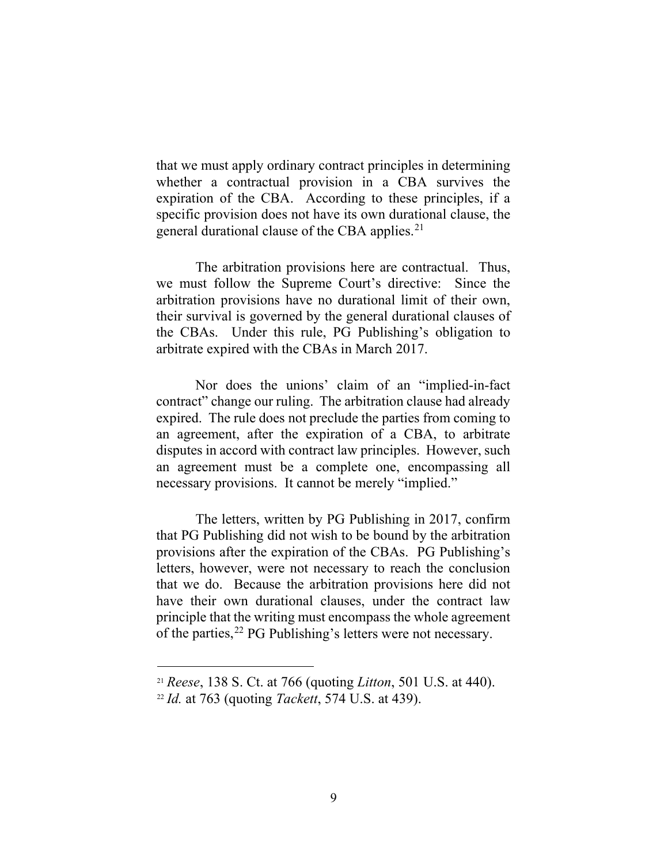that we must apply ordinary contract principles in determining whether a contractual provision in a CBA survives the expiration of the CBA. According to these principles, if a specific provision does not have its own durational clause, the general durational clause of the CBA applies.<sup>21</sup>

The arbitration provisions here are contractual. Thus, we must follow the Supreme Court's directive: Since the arbitration provisions have no durational limit of their own, their survival is governed by the general durational clauses of the CBAs. Under this rule, PG Publishing's obligation to arbitrate expired with the CBAs in March 2017.

Nor does the unions' claim of an "implied-in-fact contract" change our ruling. The arbitration clause had already expired. The rule does not preclude the parties from coming to an agreement, after the expiration of a CBA, to arbitrate disputes in accord with contract law principles. However, such an agreement must be a complete one, encompassing all necessary provisions. It cannot be merely "implied."

The letters, written by PG Publishing in 2017, confirm that PG Publishing did not wish to be bound by the arbitration provisions after the expiration of the CBAs. PG Publishing's letters, however, were not necessary to reach the conclusion that we do. Because the arbitration provisions here did not have their own durational clauses, under the contract law principle that the writing must encompass the whole agreement of the parties,<sup>22</sup> PG Publishing's letters were not necessary.

<sup>21</sup> *Reese*, 138 S. Ct. at 766 (quoting *Litton*, 501 U.S. at 440). 22 *Id.* at 763 (quoting *Tackett*, 574 U.S. at 439).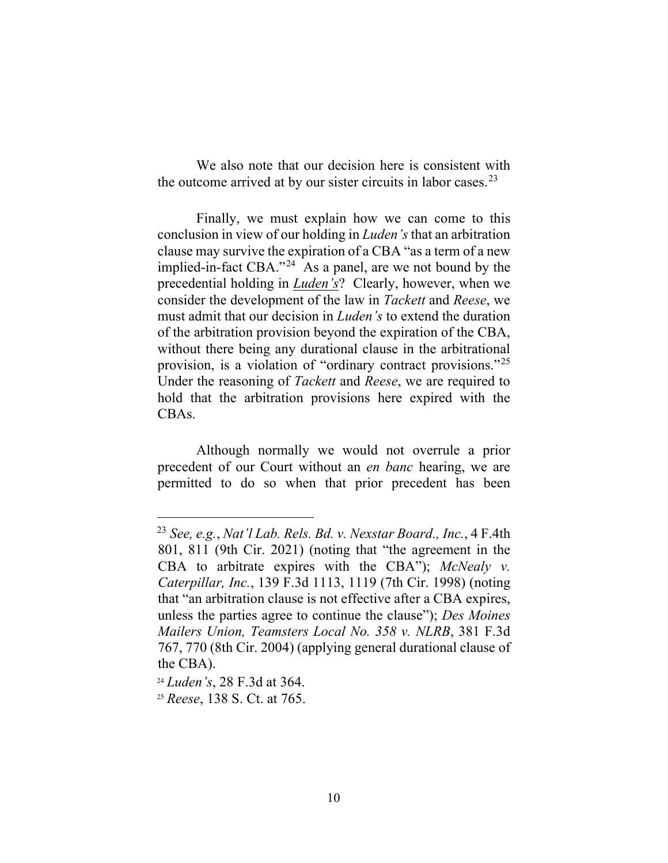We also note that our decision here is consistent with the outcome arrived at by our sister circuits in labor cases. $2<sup>3</sup>$ 

Finally, we must explain how we can come to this conclusion in view of our holding in *Luden's* that an arbitration clause may survive the expiration of a CBA "as a term of a new implied-in-fact CBA."<sup>24</sup> As a panel, are we not bound by the precedential holding in *Luden's*? Clearly, however, when we consider the development of the law in *Tackett* and *Reese*, we must admit that our decision in *Luden's* to extend the duration of the arbitration provision beyond the expiration of the CBA, without there being any durational clause in the arbitrational provision, is a violation of "ordinary contract provisions."25 Under the reasoning of *Tackett* and *Reese*, we are required to hold that the arbitration provisions here expired with the CBAs.

Although normally we would not overrule a prior precedent of our Court without an *en banc* hearing, we are permitted to do so when that prior precedent has been

<sup>23</sup> *See, e.g.*, *Nat'l Lab. Rels. Bd. v. Nexstar Board., Inc.*, 4 F.4th 801, 811 (9th Cir. 2021) (noting that "the agreement in the CBA to arbitrate expires with the CBA"); *McNealy v. Caterpillar, Inc.*, 139 F.3d 1113, 1119 (7th Cir. 1998) (noting that "an arbitration clause is not effective after a CBA expires, unless the parties agree to continue the clause"); *Des Moines Mailers Union, Teamsters Local No. 358 v. NLRB*, 381 F.3d 767, 770 (8th Cir. 2004) (applying general durational clause of the CBA).

<sup>24</sup> *Luden's*, 28 F.3d at 364. 25 *Reese*, 138 S. Ct. at 765.